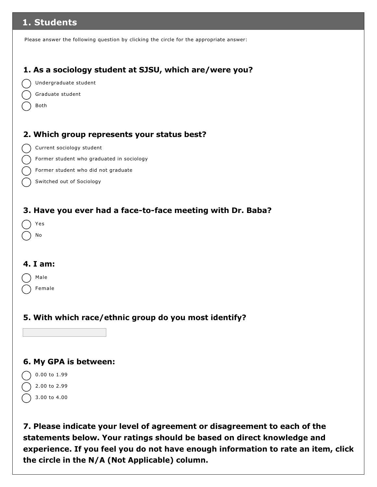# **1. Students**

Please answer the following question by clicking the circle for the appropriate answer:

## **1. As a sociology student at SJSU, which are/were you?**



- Graduate student
- Both

## **2. Which group represents your status best?**

- Current sociology student
- Former student who graduated in sociology
- Former student who did not graduate
- Switched out of Sociology

### **3. Have you ever had a face-to-face meeting with Dr. Baba?**

|  | es |
|--|----|
|  | No |

#### **4. I am:**

|  | Male |
|--|------|
|--|------|

Female

## **5. With which race/ethnic group do you most identify?**

### **6. My GPA is between:**

- $0.00$  to  $1.99$ 2.00 to 2.99 3.00 to 4.00
- **7. Please indicate your level of agreement or disagreement to each of the statements below. Your ratings should be based on direct knowledge and experience. If you feel you do not have enough information to rate an item, click the circle in the N/A (Not Applicable) column.**